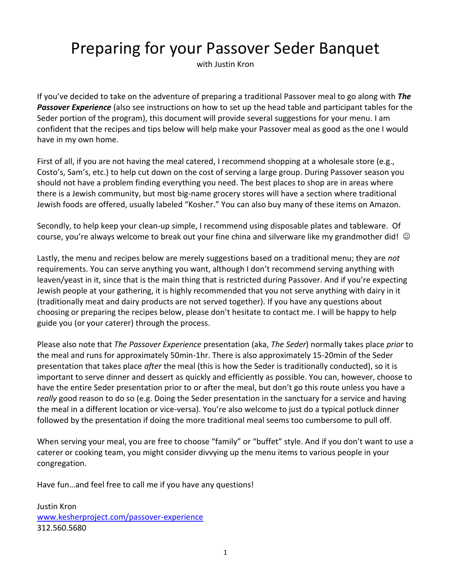# Preparing for your Passover Seder Banquet

with Justin Kron

If you've decided to take on the adventure of preparing a traditional Passover meal to go along with *The Passover Experience* (also see instructions on how to set up the head table and participant tables for the Seder portion of the program), this document will provide several suggestions for your menu. I am confident that the recipes and tips below will help make your Passover meal as good as the one I would have in my own home.

First of all, if you are not having the meal catered, I recommend shopping at a wholesale store (e.g., Costo's, Sam's, etc.) to help cut down on the cost of serving a large group. During Passover season you should not have a problem finding everything you need. The best places to shop are in areas where there is a Jewish community, but most big-name grocery stores will have a section where traditional Jewish foods are offered, usually labeled "Kosher." You can also buy many of these items on Amazon.

Secondly, to help keep your clean-up simple, I recommend using disposable plates and tableware. Of course, you're always welcome to break out your fine china and silverware like my grandmother did!  $\odot$ 

Lastly, the menu and recipes below are merely suggestions based on a traditional menu; they are *not* requirements. You can serve anything you want, although I don't recommend serving anything with leaven/yeast in it, since that is the main thing that is restricted during Passover. And if you're expecting Jewish people at your gathering, it is highly recommended that you not serve anything with dairy in it (traditionally meat and dairy products are not served together). If you have any questions about choosing or preparing the recipes below, please don't hesitate to contact me. I will be happy to help guide you (or your caterer) through the process.

Please also note that *The Passover Experience* presentation (aka, *The Seder*) normally takes place *prior* to the meal and runs for approximately 50min-1hr. There is also approximately 15-20min of the Seder presentation that takes place *after* the meal (this is how the Seder is traditionally conducted), so it is important to serve dinner and dessert as quickly and efficiently as possible. You can, however, choose to have the entire Seder presentation prior to or after the meal, but don't go this route unless you have a *really* good reason to do so (e.g. Doing the Seder presentation in the sanctuary for a service and having the meal in a different location or vice-versa). You're also welcome to just do a typical potluck dinner followed by the presentation if doing the more traditional meal seems too cumbersome to pull off.

When serving your meal, you are free to choose "family" or "buffet" style. And if you don't want to use a caterer or cooking team, you might consider divvying up the menu items to various people in your congregation.

Have fun…and feel free to call me if you have any questions!

Justin Kron [www.kesherproject.com/passover-experience](http://www.kesherproject.com/passover-experience) 312.560.5680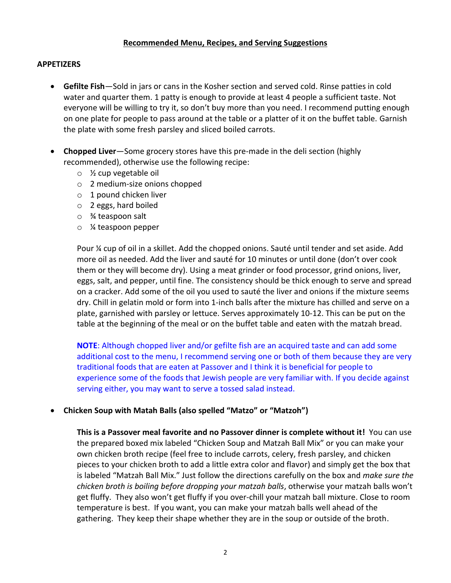## **Recommended Menu, Recipes, and Serving Suggestions**

#### **APPETIZERS**

- **Gefilte Fish**—Sold in jars or cans in the Kosher section and served cold. Rinse patties in cold water and quarter them. 1 patty is enough to provide at least 4 people a sufficient taste. Not everyone will be willing to try it, so don't buy more than you need. I recommend putting enough on one plate for people to pass around at the table or a platter of it on the buffet table. Garnish the plate with some fresh parsley and sliced boiled carrots.
- **Chopped Liver**—Some grocery stores have this pre-made in the deli section (highly recommended), otherwise use the following recipe:
	- o ½ cup vegetable oil
	- o 2 medium-size onions chopped
	- o 1 pound chicken liver
	- o 2 eggs, hard boiled
	- o ¾ teaspoon salt
	- o ¼ teaspoon pepper

Pour ¼ cup of oil in a skillet. Add the chopped onions. Sauté until tender and set aside. Add more oil as needed. Add the liver and sauté for 10 minutes or until done (don't over cook them or they will become dry). Using a meat grinder or food processor, grind onions, liver, eggs, salt, and pepper, until fine. The consistency should be thick enough to serve and spread on a cracker. Add some of the oil you used to sauté the liver and onions if the mixture seems dry. Chill in gelatin mold or form into 1-inch balls after the mixture has chilled and serve on a plate, garnished with parsley or lettuce. Serves approximately 10-12. This can be put on the table at the beginning of the meal or on the buffet table and eaten with the matzah bread.

**NOTE**: Although chopped liver and/or gefilte fish are an acquired taste and can add some additional cost to the menu, I recommend serving one or both of them because they are very traditional foods that are eaten at Passover and I think it is beneficial for people to experience some of the foods that Jewish people are very familiar with. If you decide against serving either, you may want to serve a tossed salad instead.

## • **Chicken Soup with Matah Balls (also spelled "Matzo" or "Matzoh")**

**This is a Passover meal favorite and no Passover dinner is complete without it!** You can use the prepared boxed mix labeled "Chicken Soup and Matzah Ball Mix" or you can make your own chicken broth recipe (feel free to include carrots, celery, fresh parsley, and chicken pieces to your chicken broth to add a little extra color and flavor) and simply get the box that is labeled "Matzah Ball Mix." Just follow the directions carefully on the box and *make sure the chicken broth is boiling before dropping your matzah balls*, otherwise your matzah balls won't get fluffy. They also won't get fluffy if you over-chill your matzah ball mixture. Close to room temperature is best. If you want, you can make your matzah balls well ahead of the gathering. They keep their shape whether they are in the soup or outside of the broth.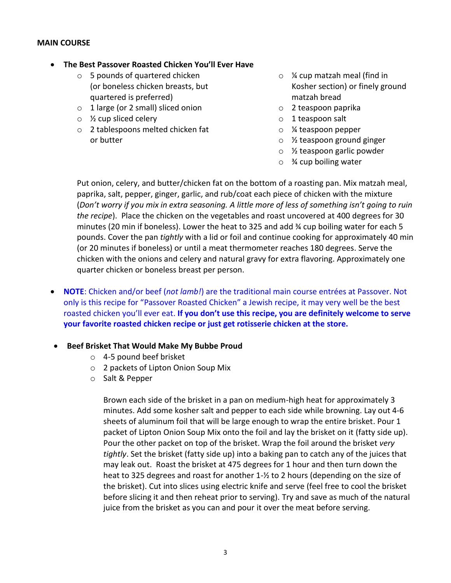## **MAIN COURSE**

## • **The Best Passover Roasted Chicken You'll Ever Have**

- $\circ$  5 pounds of quartered chicken (or boneless chicken breasts, but quartered is preferred)
- o 1 large (or 2 small) sliced onion
- $\circ$  % cup sliced celery
- o 2 tablespoons melted chicken fat or butter
- o ¼ cup matzah meal (find in Kosher section) or finely ground matzah bread
- o 2 teaspoon paprika
- o 1 teaspoon salt
- o ¼ teaspoon pepper
- o ½ teaspoon ground ginger
- o ½ teaspoon garlic powder
- $\circ$  % cup boiling water

Put onion, celery, and butter/chicken fat on the bottom of a roasting pan. Mix matzah meal, paprika, salt, pepper, ginger, garlic, and rub/coat each piece of chicken with the mixture (*Don't worry if you mix in extra seasoning. A little more of less of something isn't going to ruin the recipe*). Place the chicken on the vegetables and roast uncovered at 400 degrees for 30 minutes (20 min if boneless). Lower the heat to 325 and add ¾ cup boiling water for each 5 pounds. Cover the pan *tightly* with a lid or foil and continue cooking for approximately 40 min (or 20 minutes if boneless) or until a meat thermometer reaches 180 degrees. Serve the chicken with the onions and celery and natural gravy for extra flavoring. Approximately one quarter chicken or boneless breast per person.

• **NOTE**: Chicken and/or beef (*not lamb!*) are the traditional main course entrées at Passover. Not only is this recipe for "Passover Roasted Chicken" a Jewish recipe, it may very well be the best roasted chicken you'll ever eat. **If you don't use this recipe, you are definitely welcome to serve your favorite roasted chicken recipe or just get rotisserie chicken at the store.**

## • **Beef Brisket That Would Make My Bubbe Proud**

- o 4-5 pound beef brisket
- o 2 packets of Lipton Onion Soup Mix
- o Salt & Pepper

Brown each side of the brisket in a pan on medium-high heat for approximately 3 minutes. Add some kosher salt and pepper to each side while browning. Lay out 4-6 sheets of aluminum foil that will be large enough to wrap the entire brisket. Pour 1 packet of Lipton Onion Soup Mix onto the foil and lay the brisket on it (fatty side up). Pour the other packet on top of the brisket. Wrap the foil around the brisket *very tightly*. Set the brisket (fatty side up) into a baking pan to catch any of the juices that may leak out. Roast the brisket at 475 degrees for 1 hour and then turn down the heat to 325 degrees and roast for another 1-½ to 2 hours (depending on the size of the brisket). Cut into slices using electric knife and serve (feel free to cool the brisket before slicing it and then reheat prior to serving). Try and save as much of the natural juice from the brisket as you can and pour it over the meat before serving.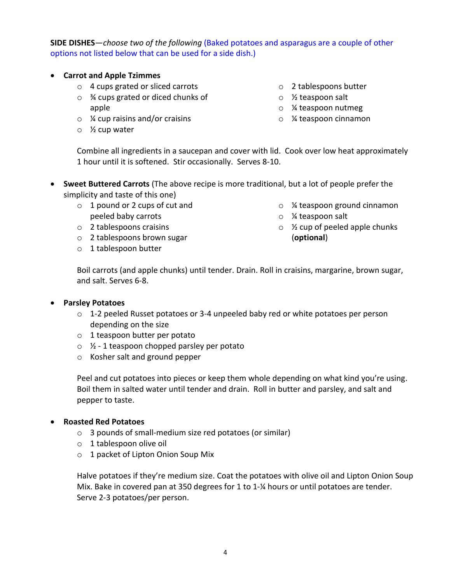**SIDE DISHES**—*choose two of the following* (Baked potatoes and asparagus are a couple of other options not listed below that can be used for a side dish.)

- **Carrot and Apple Tzimmes**
	- o 4 cups grated or sliced carrots
	- o ¾ cups grated or diced chunks of apple
	- $\circ$  % cup raisins and/or craisins
	- o ½ cup water
- o 2 tablespoons butter
- o ½ teaspoon salt
- o ¼ teaspoon nutmeg
- o ¼ teaspoon cinnamon

Combine all ingredients in a saucepan and cover with lid. Cook over low heat approximately 1 hour until it is softened. Stir occasionally. Serves 8-10.

- **Sweet Buttered Carrots** (The above recipe is more traditional, but a lot of people prefer the simplicity and taste of this one)
	- o 1 pound or 2 cups of cut and peeled baby carrots
	- o 2 tablespoons craisins
	- o 2 tablespoons brown sugar
	- o 1 tablespoon butter
- o ¼ teaspoon ground cinnamon
- o ¼ teaspoon salt
- $\circ$  % cup of peeled apple chunks (**optional**)

Boil carrots (and apple chunks) until tender. Drain. Roll in craisins, margarine, brown sugar, and salt. Serves 6-8.

# • **Parsley Potatoes**

- $\circ$  1-2 peeled Russet potatoes or 3-4 unpeeled baby red or white potatoes per person depending on the size
- o 1 teaspoon butter per potato
- $\sqrt{2}$  1 teaspoon chopped parsley per potato
- o Kosher salt and ground pepper

Peel and cut potatoes into pieces or keep them whole depending on what kind you're using. Boil them in salted water until tender and drain. Roll in butter and parsley, and salt and pepper to taste.

# • **Roasted Red Potatoes**

- o 3 pounds of small-medium size red potatoes (or similar)
- o 1 tablespoon olive oil
- o 1 packet of Lipton Onion Soup Mix

Halve potatoes if they're medium size. Coat the potatoes with olive oil and Lipton Onion Soup Mix. Bake in covered pan at 350 degrees for 1 to 1-¼ hours or until potatoes are tender. Serve 2-3 potatoes/per person.